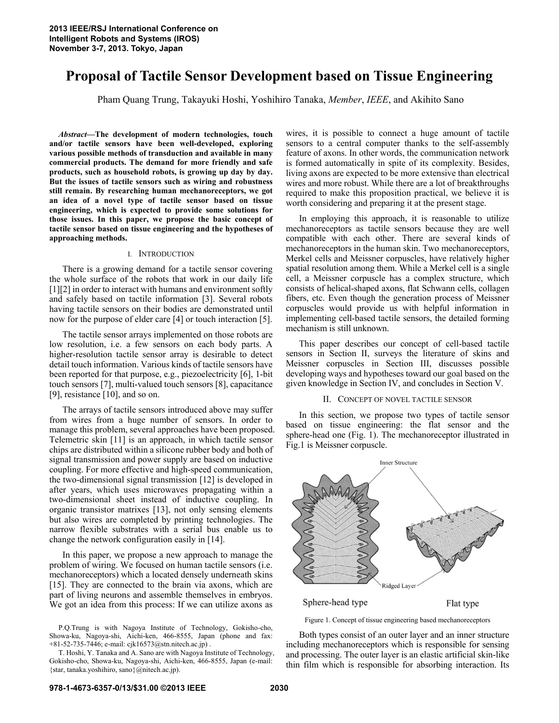# **Proposal of Tactile Sensor Development based on Tissue Engineering**

Pham Quang Trung, Takayuki Hoshi, Yoshihiro Tanaka, *Member*, *IEEE*, and Akihito Sano

*Abstract***—The development of modern technologies, touch and/or tactile sensors have been well-developed, exploring various possible methods of transduction and available in many commercial products. The demand for more friendly and safe products, such as household robots, is growing up day by day. But the issues of tactile sensors such as wiring and robustness still remain. By researching human mechanoreceptors, we got an idea of a novel type of tactile sensor based on tissue engineering, which is expected to provide some solutions for those issues. In this paper, we propose the basic concept of tactile sensor based on tissue engineering and the hypotheses of approaching methods.**

#### I. INTRODUCTION

There is a growing demand for a tactile sensor covering the whole surface of the robots that work in our daily life [1][2] in order to interact with humans and environment softly and safely based on tactile information [3]. Several robots having tactile sensors on their bodies are demonstrated until now for the purpose of elder care [4] or touch interaction [5].

The tactile sensor arrays implemented on those robots are low resolution, i.e. a few sensors on each body parts. A higher-resolution tactile sensor array is desirable to detect detail touch information. Various kinds of tactile sensors have been reported for that purpose, e.g., piezoelectricity [6], 1-bit touch sensors [7], multi-valued touch sensors [8], capacitance [9], resistance [10], and so on.

The arrays of tactile sensors introduced above may suffer from wires from a huge number of sensors. In order to manage this problem, several approaches have been proposed. Telemetric skin [11] is an approach, in which tactile sensor chips are distributed within a silicone rubber body and both of signal transmission and power supply are based on inductive coupling. For more effective and high-speed communication, the two-dimensional signal transmission [12] is developed in after years, which uses microwaves propagating within a two-dimensional sheet instead of inductive coupling. In organic transistor matrixes [13], not only sensing elements but also wires are completed by printing technologies. The narrow flexible substrates with a serial bus enable us to change the network configuration easily in [14].

In this paper, we propose a new approach to manage the problem of wiring. We focused on human tactile sensors (i.e. mechanoreceptors) which a located densely underneath skins [15]. They are connected to the brain via axons, which are part of living neurons and assemble themselves in embryos. We got an idea from this process: If we can utilize axons as

T. Hoshi, Y. Tanaka and A. Sano are with Nagoya Institute of Technology, Gokisho-cho, Showa-ku, Nagoya-shi, Aichi-ken, 466-8555, Japan (e-mail: {star, tanaka.yoshihiro, sano}@nitech.ac.jp).

wires, it is possible to connect a huge amount of tactile sensors to a central computer thanks to the self-assembly feature of axons. In other words, the communication network is formed automatically in spite of its complexity. Besides, living axons are expected to be more extensive than electrical wires and more robust. While there are a lot of breakthroughs required to make this proposition practical, we believe it is worth considering and preparing it at the present stage.

In employing this approach, it is reasonable to utilize mechanoreceptors as tactile sensors because they are well compatible with each other. There are several kinds of mechanoreceptors in the human skin. Two mechanoreceptors, Merkel cells and Meissner corpuscles, have relatively higher spatial resolution among them. While a Merkel cell is a single cell, a Meissner corpuscle has a complex structure, which consists of helical-shaped axons, flat Schwann cells, collagen fibers, etc. Even though the generation process of Meissner corpuscles would provide us with helpful information in implementing cell-based tactile sensors, the detailed forming mechanism is still unknown.

This paper describes our concept of cell-based tactile sensors in Section II, surveys the literature of skins and Meissner corpuscles in Section III, discusses possible developing ways and hypotheses toward our goal based on the given knowledge in Section IV, and concludes in Section V.

#### II. CONCEPT OF NOVEL TACTILE SENSOR

In this section, we propose two types of tactile sensor based on tissue engineering: the flat sensor and the sphere-head one (Fig. 1). The mechanoreceptor illustrated in Fig.1 is Meissner corpuscle.



Figure 1. Concept of tissue engineering based mechanoreceptors

Both types consist of an outer layer and an inner structure including mechanoreceptors which is responsible for sensing and processing. The outer layer is an elastic artificial skin-like thin film which is responsible for absorbing interaction. Its

P.Q.Trung is with Nagoya Institute of Technology, Gokisho-cho, Showa-ku, Nagoya-shi, Aichi-ken, 466-8555, Japan (phone and fax: +81-52-735-7446; e-mail: cjk16573@stn.nitech.ac.jp) .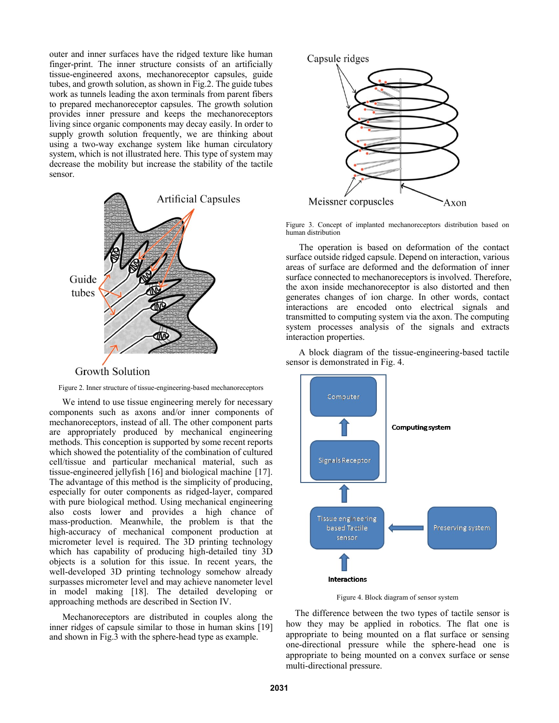outer and inner surfaces have the ridged texture like human finger-print. The inner structure consists of an artificially tissue-engineered axons, mechanoreceptor capsules, guide tubes, and growth solution, as shown in Fig.2. The guide tubes work as tunnels leading the axon terminals from parent fibers to prepared mechanoreceptor capsules. The growth solution provides inner pressure and keeps the mechanoreceptors living since organic components may decay easily. In order to supply growth solution frequently, we are thinking about using a two-way exchange system like human circulatory system, which is not illustrated here. This type of system may decrease the mobility but increase the stability of the tactile sensor.



# Growth Solution

Figure 2. Inner structure of tissue-engineering-based mechanoreceptors

We intend to use tissue engineering merely for necessary components such as axons and/or inner components of mechanoreceptors, instead of all. The other component parts are appropriately produced by mechanical engineering methods. This conception is supported by some recent reports which showed the potentiality of the combination of cultured cell/tissue and particular mechanical material, such as tissue-engineered jellyfish [16] and biological machine [17]. The advantage of this method is the simplicity of producing, especially for outer components as ridged-layer, compared with pure biological method. Using mechanical engineering also costs lower and provides a high chance of mass-production. Meanwhile, the problem is that the high-accuracy of mechanical component production at micrometer level is required. The 3D printing technology which has capability of producing high-detailed tiny 3D objects is a solution for this issue. In recent years, the well-developed 3D printing technology somehow already surpasses micrometer level and may achieve nanometer level in model making [18]. The detailed developing or approaching methods are described in Section IV.

Mechanoreceptors are distributed in couples along the inner ridges of capsule similar to those in human skins [19] and shown in Fig.3 with the sphere-head type as example.

Capsule ridges



Figure 3. Concept of implanted mechanoreceptors distribution based on human distribution

The operation is based on deformation of the contact surface outside ridged capsule. Depend on interaction, various areas of surface are deformed and the deformation of inner surface connected to mechanoreceptors is involved. Therefore, the axon inside mechanoreceptor is also distorted and then generates changes of ion charge. In other words, contact interactions are encoded onto electrical signals and transmitted to computing system via the axon. The computing system processes analysis of the signals and extracts interaction properties.

A block diagram of the tissue-engineering-based tactile sensor is demonstrated in Fig. 4.



Figure 4. Block diagram of sensor system

The difference between the two types of tactile sensor is how they may be applied in robotics. The flat one is appropriate to being mounted on a flat surface or sensing one-directional pressure while the sphere-head one is appropriate to being mounted on a convex surface or sense multi-directional pressure.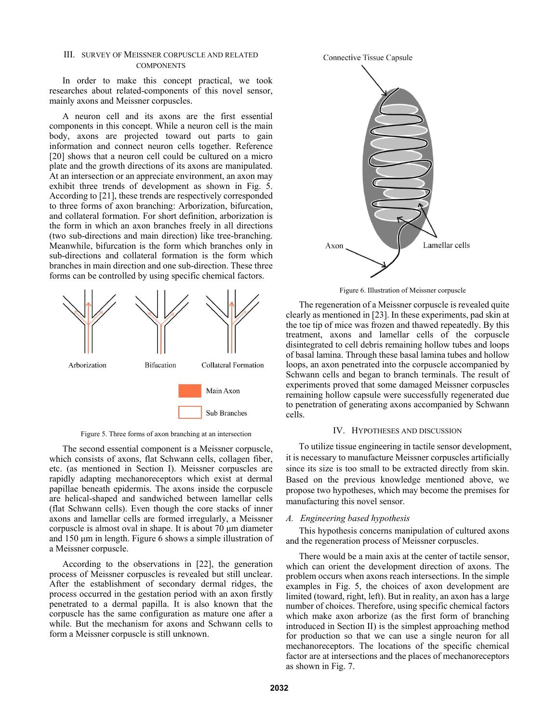# III. SURVEY OF MEISSNER CORPUSCLE AND RELATED **COMPONENTS**

In order to make this concept practical, we took researches about related-components of this novel sensor, mainly axons and Meissner corpuscles.

A neuron cell and its axons are the first essential components in this concept. While a neuron cell is the main body, axons are projected toward out parts to gain information and connect neuron cells together. Reference [20] shows that a neuron cell could be cultured on a micro plate and the growth directions of its axons are manipulated. At an intersection or an appreciate environment, an axon may exhibit three trends of development as shown in Fig. 5. According to [21], these trends are respectively corresponded to three forms of axon branching: Arborization, bifurcation, and collateral formation. For short definition, arborization is the form in which an axon branches freely in all directions (two sub-directions and main direction) like tree-branching. Meanwhile, bifurcation is the form which branches only in sub-directions and collateral formation is the form which branches in main direction and one sub-direction. These three forms can be controlled by using specific chemical factors.



Figure 5. Three forms of axon branching at an intersection

The second essential component is a Meissner corpuscle, which consists of axons, flat Schwann cells, collagen fiber, etc. (as mentioned in Section I). Meissner corpuscles are rapidly adapting mechanoreceptors which exist at dermal papillae beneath epidermis. The axons inside the corpuscle are helical-shaped and sandwiched between lamellar cells (flat Schwann cells). Even though the core stacks of inner axons and lamellar cells are formed irregularly, a Meissner corpuscle is almost oval in shape. It is about 70 μm diameter and 150 μm in length. Figure 6 shows a simple illustration of a Meissner corpuscle.

According to the observations in [22], the generation process of Meissner corpuscles is revealed but still unclear. After the establishment of secondary dermal ridges, the process occurred in the gestation period with an axon firstly penetrated to a dermal papilla. It is also known that the corpuscle has the same configuration as mature one after a while. But the mechanism for axons and Schwann cells to form a Meissner corpuscle is still unknown.



Figure 6. Illustration of Meissner corpuscle

The regeneration of a Meissner corpuscle is revealed quite clearly as mentioned in [23]. In these experiments, pad skin at the toe tip of mice was frozen and thawed repeatedly. By this treatment, axons and lamellar cells of the corpuscle disintegrated to cell debris remaining hollow tubes and loops of basal lamina. Through these basal lamina tubes and hollow loops, an axon penetrated into the corpuscle accompanied by Schwann cells and began to branch terminals. The result of experiments proved that some damaged Meissner corpuscles remaining hollow capsule were successfully regenerated due to penetration of generating axons accompanied by Schwann cells.

## IV. HYPOTHESES AND DISCUSSION

To utilize tissue engineering in tactile sensor development, it is necessary to manufacture Meissner corpuscles artificially since its size is too small to be extracted directly from skin. Based on the previous knowledge mentioned above, we propose two hypotheses, which may become the premises for manufacturing this novel sensor.

### *A. Engineering based hypothesis*

This hypothesis concerns manipulation of cultured axons and the regeneration process of Meissner corpuscles.

There would be a main axis at the center of tactile sensor, which can orient the development direction of axons. The problem occurs when axons reach intersections. In the simple examples in Fig. 5, the choices of axon development are limited (toward, right, left). But in reality, an axon has a large number of choices. Therefore, using specific chemical factors which make axon arborize (as the first form of branching introduced in Section II) is the simplest approaching method for production so that we can use a single neuron for all mechanoreceptors. The locations of the specific chemical factor are at intersections and the places of mechanoreceptors as shown in Fig. 7.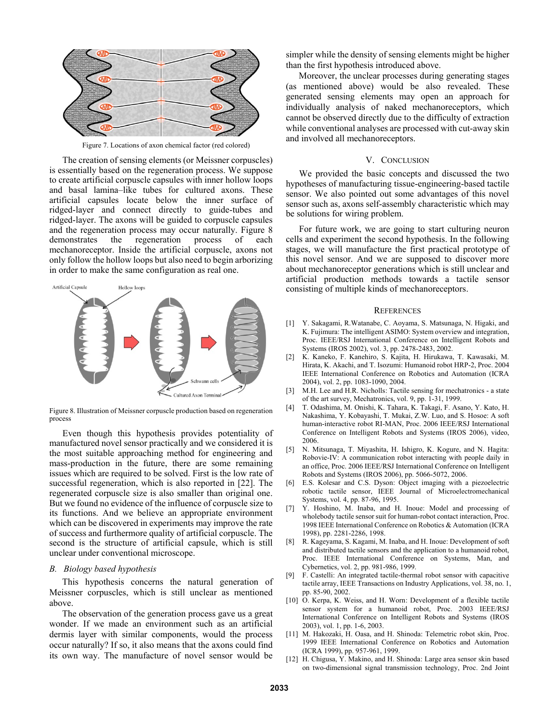

Figure 7. Locations of axon chemical factor (red colored)

The creation of sensing elements (or Meissner corpuscles) is essentially based on the regeneration process. We suppose to create artificial corpuscle capsules with inner hollow loops and basal lamina–like tubes for cultured axons. These artificial capsules locate below the inner surface of ridged-layer and connect directly to guide-tubes and ridged-layer. The axons will be guided to corpuscle capsules and the regeneration process may occur naturally. Figure 8 demonstrates the regeneration process of each mechanoreceptor. Inside the artificial corpuscle, axons not only follow the hollow loops but also need to begin arborizing in order to make the same configuration as real one.



Figure 8. Illustration of Meissner corpuscle production based on regeneration process

Even though this hypothesis provides potentiality of manufactured novel sensor practically and we considered it is the most suitable approaching method for engineering and mass-production in the future, there are some remaining issues which are required to be solved. First is the low rate of successful regeneration, which is also reported in [22]. The regenerated corpuscle size is also smaller than original one. But we found no evidence of the influence of corpuscle size to its functions. And we believe an appropriate environment which can be discovered in experiments may improve the rate of success and furthermore quality of artificial corpuscle. The second is the structure of artificial capsule, which is still unclear under conventional microscope.

## *B. Biology based hypothesis*

This hypothesis concerns the natural generation of Meissner corpuscles, which is still unclear as mentioned above.

The observation of the generation process gave us a great wonder. If we made an environment such as an artificial dermis layer with similar components, would the process occur naturally? If so, it also means that the axons could find its own way. The manufacture of novel sensor would be simpler while the density of sensing elements might be higher than the first hypothesis introduced above.

Moreover, the unclear processes during generating stages (as mentioned above) would be also revealed. These generated sensing elements may open an approach for individually analysis of naked mechanoreceptors, which cannot be observed directly due to the difficulty of extraction while conventional analyses are processed with cut-away skin and involved all mechanoreceptors.

### V. CONCLUSION

We provided the basic concepts and discussed the two hypotheses of manufacturing tissue-engineering-based tactile sensor. We also pointed out some advantages of this novel sensor such as, axons self-assembly characteristic which may be solutions for wiring problem.

For future work, we are going to start culturing neuron cells and experiment the second hypothesis. In the following stages, we will manufacture the first practical prototype of this novel sensor. And we are supposed to discover more about mechanoreceptor generations which is still unclear and artificial production methods towards a tactile sensor consisting of multiple kinds of mechanoreceptors.

#### **REFERENCES**

- [1] Y. Sakagami, R.Watanabe, C. Aoyama, S. Matsunaga, N. Higaki, and K. Fujimura: The intelligent ASIMO: System overview and integration, Proc. IEEE/RSJ International Conference on Intelligent Robots and Systems (IROS 2002), vol. 3, pp. 2478-2483, 2002.
- [2] K. Kaneko, F. Kanehiro, S. Kajita, H. Hirukawa, T. Kawasaki, M. Hirata, K. Akachi, and T. Isozumi: Humanoid robot HRP-2, Proc. 2004 IEEE International Conference on Robotics and Automation (ICRA 2004), vol. 2, pp. 1083-1090, 2004.
- [3] M.H. Lee and H.R. Nicholls: Tactile sensing for mechatronics a state of the art survey, Mechatronics, vol. 9, pp. 1-31, 1999.
- [4] T. Odashima, M. Onishi, K. Tahara, K. Takagi, F. Asano, Y. Kato, H. Nakashima, Y. Kobayashi, T. Mukai, Z.W. Luo, and S. Hosoe: A soft human-interactive robot RI-MAN, Proc. 2006 IEEE/RSJ International Conference on Intelligent Robots and Systems (IROS 2006), video, 2006.
- [5] N. Mitsunaga, T. Miyashita, H. Ishigro, K. Kogure, and N. Hagita: Robovie-IV: A communication robot interacting with people daily in an office, Proc. 2006 IEEE/RSJ International Conference on Intelligent Robots and Systems (IROS 2006), pp. 5066-5072, 2006.
- [6] E.S. Kolesar and C.S. Dyson: Object imaging with a piezoelectric robotic tactile sensor, IEEE Journal of Microelectromechanical Systems, vol. 4, pp. 87-96, 1995.
- [7] Y. Hoshino, M. Inaba, and H. Inoue: Model and processing of wholebody tactile sensor suit for human-robot contact interaction, Proc. 1998 IEEE International Conference on Robotics & Automation (ICRA 1998), pp. 2281-2286, 1998.
- [8] R. Kageyama, S. Kagami, M. Inaba, and H. Inoue: Development of soft and distributed tactile sensors and the application to a humanoid robot, Proc. IEEE International Conference on Systems, Man, and Cybernetics, vol. 2, pp. 981-986, 1999.
- [9] F. Castelli: An integrated tactile-thermal robot sensor with capacitive tactile array, IEEE Transactions on Industry Applications, vol. 38, no. 1, pp. 85-90, 2002.
- [10] O. Kerpa, K. Weiss, and H. Worn: Development of a flexible tactile sensor system for a humanoid robot, Proc. 2003 IEEE/RSJ International Conference on Intelligent Robots and Systems (IROS 2003), vol. 1, pp. 1-6, 2003.
- [11] M. Hakozaki, H. Oasa, and H. Shinoda: Telemetric robot skin, Proc. 1999 IEEE International Conference on Robotics and Automation (ICRA 1999), pp. 957-961, 1999.
- [12] H. Chigusa, Y. Makino, and H. Shinoda: Large area sensor skin based on two-dimensional signal transmission technology, Proc. 2nd Joint